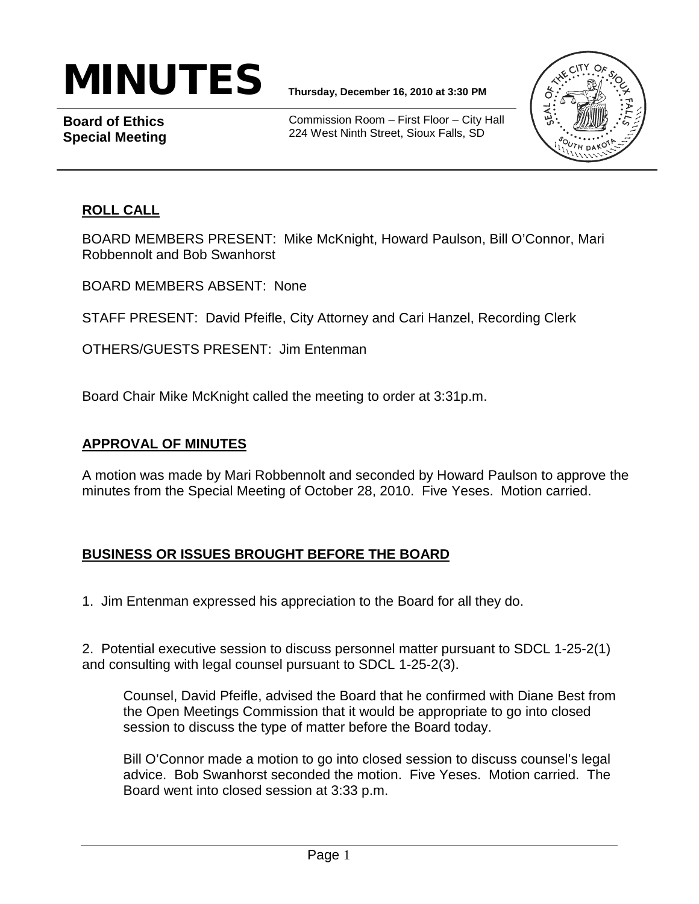# MINUTES **Thursday, December 16, 2010 at 3:30 PM**

**Board of Ethics Special Meeting**

Commission Room – First Floor – City Hall 224 West Ninth Street, Sioux Falls, SD



### **ROLL CALL**

BOARD MEMBERS PRESENT: Mike McKnight, Howard Paulson, Bill O'Connor, Mari Robbennolt and Bob Swanhorst

BOARD MEMBERS ABSENT: None

STAFF PRESENT: David Pfeifle, City Attorney and Cari Hanzel, Recording Clerk

OTHERS/GUESTS PRESENT: Jim Entenman

Board Chair Mike McKnight called the meeting to order at 3:31p.m.

#### **APPROVAL OF MINUTES**

A motion was made by Mari Robbennolt and seconded by Howard Paulson to approve the minutes from the Special Meeting of October 28, 2010. Five Yeses. Motion carried.

### **BUSINESS OR ISSUES BROUGHT BEFORE THE BOARD**

1. Jim Entenman expressed his appreciation to the Board for all they do.

2. Potential executive session to discuss personnel matter pursuant to SDCL 1-25-2(1) and consulting with legal counsel pursuant to SDCL 1-25-2(3).

Counsel, David Pfeifle, advised the Board that he confirmed with Diane Best from the Open Meetings Commission that it would be appropriate to go into closed session to discuss the type of matter before the Board today.

Bill O'Connor made a motion to go into closed session to discuss counsel's legal advice. Bob Swanhorst seconded the motion. Five Yeses. Motion carried. The Board went into closed session at 3:33 p.m.